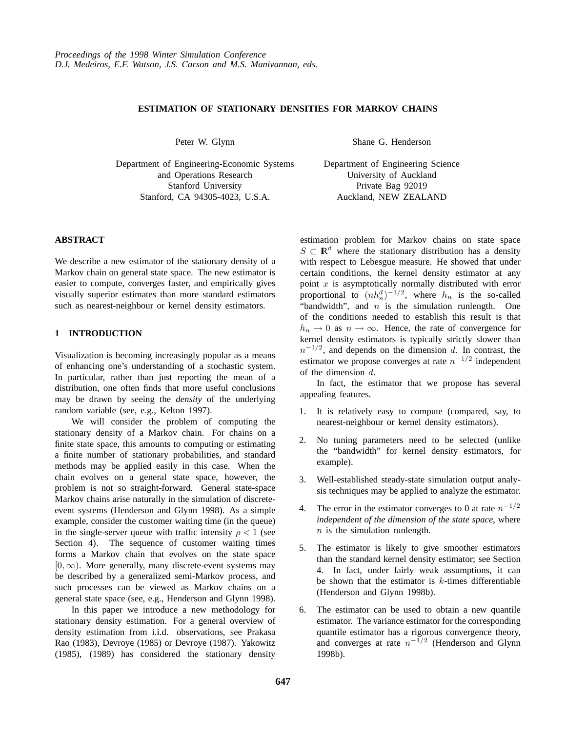# **ESTIMATION OF STATIONARY DENSITIES FOR MARKOV CHAINS**

Peter W. Glynn

Department of Engineering-Economic Systems and Operations Research Stanford University Stanford, CA 94305-4023, U.S.A.

### **ABSTRACT**

We describe a new estimator of the stationary density of a Markov chain on general state space. The new estimator is easier to compute, converges faster, and empirically gives visually superior estimates than more standard estimators such as nearest-neighbour or kernel density estimators.

## **1 INTRODUCTION**

Visualization is becoming increasingly popular as a means of enhancing one's understanding of a stochastic system. In particular, rather than just reporting the mean of a distribution, one often finds that more useful conclusions may be drawn by seeing the *density* of the underlying random variable (see, e.g., Kelton 1997).

We will consider the problem of computing the stationary density of a Markov chain. For chains on a finite state space, this amounts to computing or estimating a finite number of stationary probabilities, and standard methods may be applied easily in this case. When the chain evolves on a general state space, however, the problem is not so straight-forward. General state-space Markov chains arise naturally in the simulation of discreteevent systems (Henderson and Glynn 1998). As a simple example, consider the customer waiting time (in the queue) in the single-server queue with traffic intensity  $\rho < 1$  (see Section 4). The sequence of customer waiting times forms a Markov chain that evolves on the state space  $[0, \infty)$ . More generally, many discrete-event systems may be described by a generalized semi-Markov process, and such processes can be viewed as Markov chains on a general state space (see, e.g., Henderson and Glynn 1998).

In this paper we introduce a new methodology for stationary density estimation. For a general overview of density estimation from i.i.d. observations, see Prakasa Rao (1983), Devroye (1985) or Devroye (1987). Yakowitz (1985), (1989) has considered the stationary density

Shane G. Henderson

Department of Engineering Science University of Auckland Private Bag 92019 Auckland, NEW ZEALAND

estimation problem for Markov chains on state space  $S \subset \mathbb{R}^d$  where the stationary distribution has a density with respect to Lebesgue measure. He showed that under certain conditions, the kernel density estimator at any point  $x$  is asymptotically normally distributed with error proportional to  $(nh_n^d)^{-1/2}$ , where  $h_n$  is the so-called "bandwidth", and  $n$  is the simulation runlength. One of the conditions needed to establish this result is that  $h_n \to 0$  as  $n \to \infty$ . Hence, the rate of convergence for kernel density estimators is typically strictly slower than  $n^{-1/2}$ , and depends on the dimension d. In contrast, the estimator we propose converges at rate  $n^{-1/2}$  independent of the dimension d.

In fact, the estimator that we propose has several appealing features.

- 1. It is relatively easy to compute (compared, say, to nearest-neighbour or kernel density estimators).
- 2. No tuning parameters need to be selected (unlike the "bandwidth" for kernel density estimators, for example).
- 3. Well-established steady-state simulation output analysis techniques may be applied to analyze the estimator.
- 4. The error in the estimator converges to 0 at rate  $n^{-1/2}$ *independent of the dimension of the state space*, where  $n$  is the simulation runlength.
- 5. The estimator is likely to give smoother estimators than the standard kernel density estimator; see Section 4. In fact, under fairly weak assumptions, it can be shown that the estimator is  $k$ -times differentiable (Henderson and Glynn 1998b).
- 6. The estimator can be used to obtain a new quantile estimator. The variance estimator for the corresponding quantile estimator has a rigorous convergence theory, and converges at rate  $n^{-1/2}$  (Henderson and Glynn 1998b).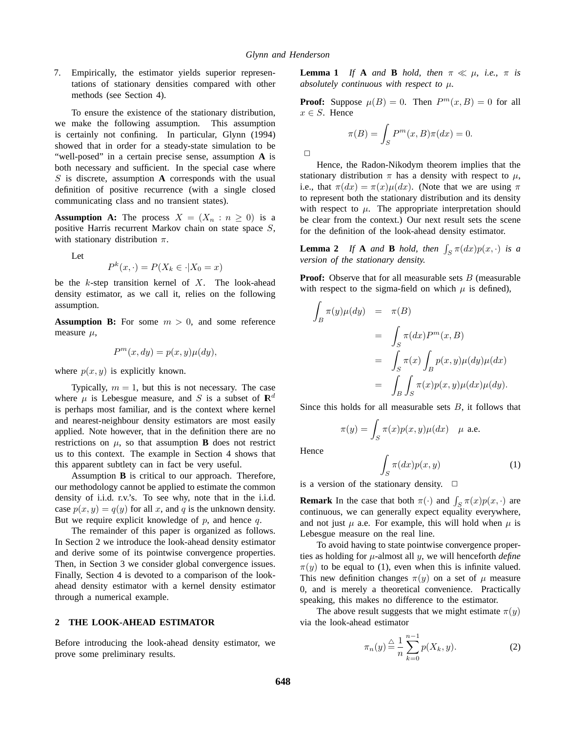$\Box$ 

7. Empirically, the estimator yields superior representations of stationary densities compared with other methods (see Section 4).

To ensure the existence of the stationary distribution, we make the following assumption. This assumption is certainly not confining. In particular, Glynn (1994) showed that in order for a steady-state simulation to be "well-posed" in a certain precise sense, assumption **A** is both necessary and sufficient. In the special case where S is discrete, assumption **A** corresponds with the usual definition of positive recurrence (with a single closed communicating class and no transient states).

**Assumption A:** The process  $X = (X_n : n \ge 0)$  is a positive Harris recurrent Markov chain on state space S, with stationary distribution  $\pi$ .

Let

$$
P^k(x, \cdot) = P(X_k \in \cdot | X_0 = x)
$$

be the  $k$ -step transition kernel of  $X$ . The look-ahead density estimator, as we call it, relies on the following assumption.

**Assumption B:** For some  $m > 0$ , and some reference measure  $\mu$ ,

$$
P^m(x, dy) = p(x, y)\mu(dy),
$$

where  $p(x, y)$  is explicitly known.

Typically,  $m = 1$ , but this is not necessary. The case where  $\mu$  is Lebesgue measure, and S is a subset of  $\mathbb{R}^d$ is perhaps most familiar, and is the context where kernel and nearest-neighbour density estimators are most easily applied. Note however, that in the definition there are no restrictions on  $\mu$ , so that assumption **B** does not restrict us to this context. The example in Section 4 shows that this apparent subtlety can in fact be very useful.

Assumption **B** is critical to our approach. Therefore, our methodology cannot be applied to estimate the common density of i.i.d. r.v.'s. To see why, note that in the i.i.d. case  $p(x, y) = q(y)$  for all x, and q is the unknown density. But we require explicit knowledge of  $p$ , and hence  $q$ .

The remainder of this paper is organized as follows. In Section 2 we introduce the look-ahead density estimator and derive some of its pointwise convergence properties. Then, in Section 3 we consider global convergence issues. Finally, Section 4 is devoted to a comparison of the lookahead density estimator with a kernel density estimator through a numerical example.

#### **2 THE LOOK-AHEAD ESTIMATOR**

Before introducing the look-ahead density estimator, we prove some preliminary results.

**Lemma 1** *If* **A** *and* **B** *hold, then*  $\pi \ll \mu$ *, i.e.,*  $\pi$  *is absolutely continuous with respect to*  $\mu$ *.* 

**Proof:** Suppose  $\mu(B) = 0$ . Then  $P^m(x, B) = 0$  for all  $x \in S$ . Hence

$$
\pi(B) = \int_{S} P^m(x, B)\pi(dx) = 0.
$$

Hence, the Radon-Nikodym theorem implies that the stationary distribution  $\pi$  has a density with respect to  $\mu$ , i.e., that  $\pi(dx) = \pi(x)\mu(dx)$ . (Note that we are using  $\pi$ to represent both the stationary distribution and its density with respect to  $\mu$ . The appropriate interpretation should be clear from the context.) Our next result sets the scene for the definition of the look-ahead density estimator.

**Lemma 2** *If* **A** *and* **B** *hold, then*  $\int_S \pi(dx)p(x, \cdot)$  *is a version of the stationary density.*

**Proof:** Observe that for all measurable sets B (measurable with respect to the sigma-field on which  $\mu$  is defined),

$$
\int_{B} \pi(y)\mu(dy) = \pi(B)
$$
\n
$$
= \int_{S} \pi(dx)P^{m}(x, B)
$$
\n
$$
= \int_{S} \pi(x) \int_{B} p(x, y)\mu(dy)\mu(dx)
$$
\n
$$
= \int_{B} \int_{S} \pi(x)p(x, y)\mu(dx)\mu(dy).
$$

Since this holds for all measurable sets  $B$ , it follows that

$$
\pi(y) = \int_S \pi(x) p(x, y) \mu(dx) \quad \mu \text{ a.e.}
$$

Hence

$$
\int_{S} \pi(dx)p(x,y) \tag{1}
$$

is a version of the stationary density.  $\Box$ 

**Remark** In the case that both  $\pi(\cdot)$  and  $\int_S \pi(x)p(x, \cdot)$  are continuous, we can generally expect equality everywhere, and not just  $\mu$  a.e. For example, this will hold when  $\mu$  is Lebesgue measure on the real line.

To avoid having to state pointwise convergence properties as holding for  $\mu$ -almost all  $y$ , we will henceforth *define*  $\pi(y)$  to be equal to (1), even when this is infinite valued. This new definition changes  $\pi(y)$  on a set of  $\mu$  measure 0, and is merely a theoretical convenience. Practically speaking, this makes no difference to the estimator.

The above result suggests that we might estimate  $\pi(y)$ via the look-ahead estimator

$$
\pi_n(y) \stackrel{\triangle}{=} \frac{1}{n} \sum_{k=0}^{n-1} p(X_k, y).
$$
 (2)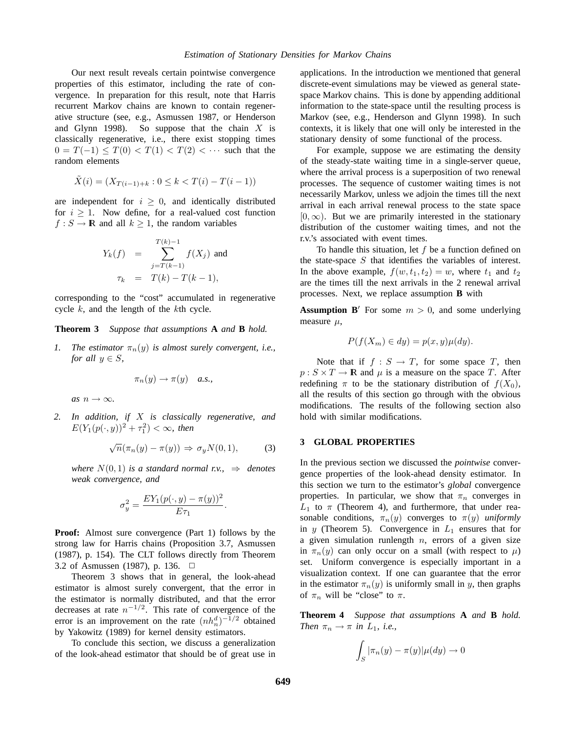Our next result reveals certain pointwise convergence properties of this estimator, including the rate of convergence. In preparation for this result, note that Harris recurrent Markov chains are known to contain regenerative structure (see, e.g., Asmussen 1987, or Henderson and Glynn 1998). So suppose that the chain  $X$  is classically regenerative, i.e., there exist stopping times  $0 = T(-1) \leq T(0) < T(1) < T(2) < \cdots$  such that the random elements

$$
\tilde{X}(i) = (X_{T(i-1)+k} : 0 \le k < T(i) - T(i-1))
$$

are independent for  $i \geq 0$ , and identically distributed for  $i \geq 1$ . Now define, for a real-valued cost function  $f: S \to \mathbb{R}$  and all  $k > 1$ , the random variables

$$
Y_k(f) = \sum_{j=T(k-1)}^{T(k)-1} f(X_j) \text{ and}
$$
  

$$
\tau_k = T(k) - T(k-1),
$$

corresponding to the "cost" accumulated in regenerative cycle  $k$ , and the length of the  $k$ th cycle.

**Theorem 3** *Suppose that assumptions* **A** *and* **B** *hold.*

*1.* The estimator  $\pi_n(y)$  is almost surely convergent, i.e., *for all*  $y \in S$ *,* 

$$
\pi_n(y) \to \pi(y) \quad a.s.,
$$

 $as n \rightarrow \infty$ .

*2. In addition, if* X *is classically regenerative, and*  $E(Y_1(p(\cdot, y))^2 + \tau_1^2) < \infty$ , then

$$
\sqrt{n}(\pi_n(y) - \pi(y)) \Rightarrow \sigma_y N(0, 1), \tag{3}
$$

.

*where*  $N(0, 1)$  *is a standard normal r.v.,*  $\Rightarrow$  *denotes weak convergence, and*

$$
\sigma_y^2 = \frac{EY_1(p(\cdot, y) - \pi(y))^2}{E\tau_1}
$$

**Proof:** Almost sure convergence (Part 1) follows by the strong law for Harris chains (Proposition 3.7, Asmussen (1987), p. 154). The CLT follows directly from Theorem 3.2 of Asmussen (1987), p. 136.  $\Box$ 

Theorem 3 shows that in general, the look-ahead estimator is almost surely convergent, that the error in the estimator is normally distributed, and that the error decreases at rate  $n^{-1/2}$ . This rate of convergence of the error is an improvement on the rate  $(nh_n^d)^{-1/2}$  obtained by Yakowitz (1989) for kernel density estimators.

To conclude this section, we discuss a generalization of the look-ahead estimator that should be of great use in

applications. In the introduction we mentioned that general discrete-event simulations may be viewed as general statespace Markov chains. This is done by appending additional information to the state-space until the resulting process is Markov (see, e.g., Henderson and Glynn 1998). In such contexts, it is likely that one will only be interested in the stationary density of some functional of the process.

For example, suppose we are estimating the density of the steady-state waiting time in a single-server queue, where the arrival process is a superposition of two renewal processes. The sequence of customer waiting times is not necessarily Markov, unless we adjoin the times till the next arrival in each arrival renewal process to the state space  $[0, \infty)$ . But we are primarily interested in the stationary distribution of the customer waiting times, and not the r.v.'s associated with event times.

To handle this situation, let  $f$  be a function defined on the state-space  $S$  that identifies the variables of interest. In the above example,  $f(w, t_1, t_2) = w$ , where  $t_1$  and  $t_2$ are the times till the next arrivals in the 2 renewal arrival processes. Next, we replace assumption **B** with

**Assumption B'** For some  $m > 0$ , and some underlying measure  $\mu$ ,

$$
P(f(X_m) \in dy) = p(x, y)\mu(dy).
$$

Note that if  $f : S \to T$ , for some space T, then  $p: S \times T \to \mathbb{R}$  and  $\mu$  is a measure on the space T. After redefining  $\pi$  to be the stationary distribution of  $f(X_0)$ , all the results of this section go through with the obvious modifications. The results of the following section also hold with similar modifications.

#### **3 GLOBAL PROPERTIES**

In the previous section we discussed the *pointwise* convergence properties of the look-ahead density estimator. In this section we turn to the estimator's *global* convergence properties. In particular, we show that  $\pi_n$  converges in  $L_1$  to  $\pi$  (Theorem 4), and furthermore, that under reasonable conditions,  $\pi_n(y)$  converges to  $\pi(y)$  *uniformly* in y (Theorem 5). Convergence in  $L_1$  ensures that for a given simulation runlength  $n$ , errors of a given size in  $\pi_n(y)$  can only occur on a small (with respect to  $\mu$ ) set. Uniform convergence is especially important in a visualization context. If one can guarantee that the error in the estimator  $\pi_n(y)$  is uniformly small in y, then graphs of  $\pi_n$  will be "close" to  $\pi$ .

**Theorem 4** *Suppose that assumptions* **A** *and* **B** *hold. Then*  $\pi_n \to \pi$  *in*  $L_1$ *, i.e.,* 

$$
\int_{S} |\pi_n(y) - \pi(y)| \mu(dy) \to 0
$$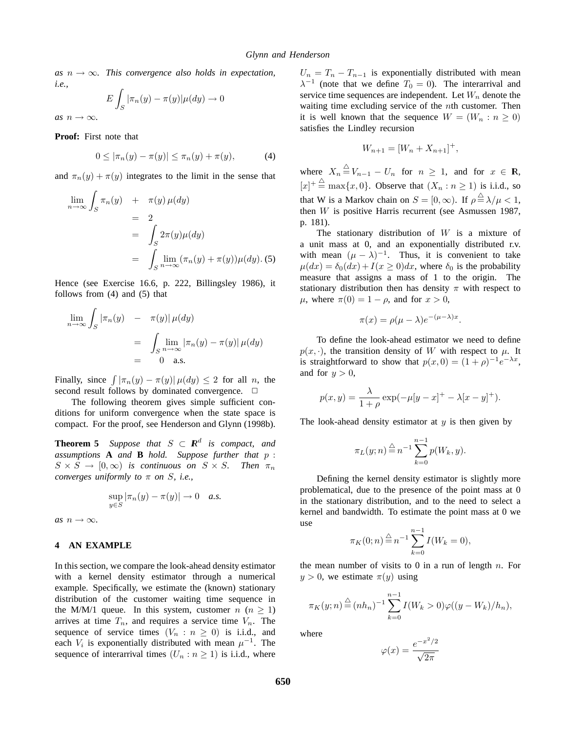$as n \rightarrow \infty$ *. This convergence also holds in expectation, i.e.,*

$$
E\int_{S}|\pi_n(y)-\pi(y)|\mu(dy)\to 0
$$

*as*  $n \rightarrow \infty$ *.* 

**Proof:** First note that

$$
0 \le |\pi_n(y) - \pi(y)| \le \pi_n(y) + \pi(y), \tag{4}
$$

and  $\pi_n(y) + \pi(y)$  integrates to the limit in the sense that

$$
\lim_{n \to \infty} \int_{S} \pi_n(y) + \pi(y) \mu(dy)
$$
\n
$$
= 2
$$
\n
$$
= \int_{S} 2\pi(y)\mu(dy)
$$
\n
$$
= \int_{S} \lim_{n \to \infty} (\pi_n(y) + \pi(y))\mu(dy). (5)
$$

Hence (see Exercise 16.6, p. 222, Billingsley 1986), it follows from (4) and (5) that

$$
\lim_{n \to \infty} \int_{S} |\pi_n(y) - \pi(y)| \mu(dy)
$$
  
= 
$$
\int_{S} \lim_{n \to \infty} |\pi_n(y) - \pi(y)| \mu(dy)
$$
  
= 0 a.s.

Finally, since  $\int |\pi_n(y) - \pi(y)| \mu(dy) \leq 2$  for all n, the second result follows by dominated convergence.  $\Box$ 

The following theorem gives simple sufficient conditions for uniform convergence when the state space is compact. For the proof, see Henderson and Glynn (1998b).

**Theorem 5** *Suppose that*  $S \subset \mathbb{R}^d$  *is compact, and assumptions* **A** *and* **B** *hold. Suppose further that* p :  $S \times S \to [0,\infty)$  *is continuous on*  $S \times S$ *. Then*  $\pi_n$ *converges uniformly to* π *on* S*, i.e.,*

$$
\sup_{y \in S} |\pi_n(y) - \pi(y)| \to 0 \quad a.s.
$$

 $as n \rightarrow \infty$ .

# **4 AN EXAMPLE**

In this section, we compare the look-ahead density estimator with a kernel density estimator through a numerical example. Specifically, we estimate the (known) stationary distribution of the customer waiting time sequence in the M/M/1 queue. In this system, customer  $n (n \ge 1)$ arrives at time  $T_n$ , and requires a service time  $V_n$ . The sequence of service times  $(V_n : n \geq 0)$  is i.i.d., and each  $V_i$  is exponentially distributed with mean  $\mu^{-1}$ . The sequence of interarrival times  $(U_n : n \ge 1)$  is i.i.d., where

 $U_n = T_n - T_{n-1}$  is exponentially distributed with mean  $\lambda^{-1}$  (note that we define  $T_0 = 0$ ). The interarrival and service time sequences are independent. Let  $W_n$  denote the waiting time excluding service of the *nth* customer. Then it is well known that the sequence  $W = (W_n : n \ge 0)$ satisfies the Lindley recursion

$$
W_{n+1} = [W_n + X_{n+1}]^+,
$$

where  $X_n \stackrel{\triangle}{=} V_{n-1} - U_n$  for  $n \geq 1$ , and for  $x \in \mathbb{R}$ ,  $[x]^+ \stackrel{\triangle}{=} \max\{x, 0\}$ . Observe that  $(X_n : n \ge 1)$  is i.i.d., so that W is a Markov chain on  $S = [0, \infty)$ . If  $\rho \stackrel{\triangle}{=} \lambda / \mu < 1$ , then  $W$  is positive Harris recurrent (see Asmussen 1987, p. 181).

The stationary distribution of  $W$  is a mixture of a unit mass at 0, and an exponentially distributed r.v. with mean  $(\mu - \lambda)^{-1}$ . Thus, it is convenient to take  $\mu(dx) = \delta_0(dx) + I(x \ge 0)dx$ , where  $\delta_0$  is the probability measure that assigns a mass of 1 to the origin. The stationary distribution then has density  $\pi$  with respect to  $\mu$ , where  $\pi(0) = 1 - \rho$ , and for  $x > 0$ ,

$$
\pi(x) = \rho(\mu - \lambda)e^{-(\mu - \lambda)x}.
$$

To define the look-ahead estimator we need to define  $p(x, \cdot)$ , the transition density of W with respect to  $\mu$ . It is straightforward to show that  $p(x, 0) = (1 + \rho)^{-1} e^{-\lambda x}$ , and for  $y > 0$ ,

$$
p(x, y) = \frac{\lambda}{1 + \rho} \exp(-\mu[y - x]^{+} - \lambda[x - y]^{+}).
$$

The look-ahead density estimator at  $y$  is then given by

$$
\pi_L(y; n) \stackrel{\triangle}{=} n^{-1} \sum_{k=0}^{n-1} p(W_k, y).
$$

Defining the kernel density estimator is slightly more problematical, due to the presence of the point mass at 0 in the stationary distribution, and to the need to select a kernel and bandwidth. To estimate the point mass at 0 we use

$$
\pi_K(0; n) \stackrel{\triangle}{=} n^{-1} \sum_{k=0}^{n-1} I(W_k = 0),
$$

the mean number of visits to 0 in a run of length  $n$ . For  $y > 0$ , we estimate  $\pi(y)$  using

$$
\pi_K(y; n) \stackrel{\triangle}{=} (n h_n)^{-1} \sum_{k=0}^{n-1} I(W_k > 0) \varphi((y - W_k)/h_n),
$$

where

$$
\varphi(x) = \frac{e^{-x^2/2}}{\sqrt{2\pi}}
$$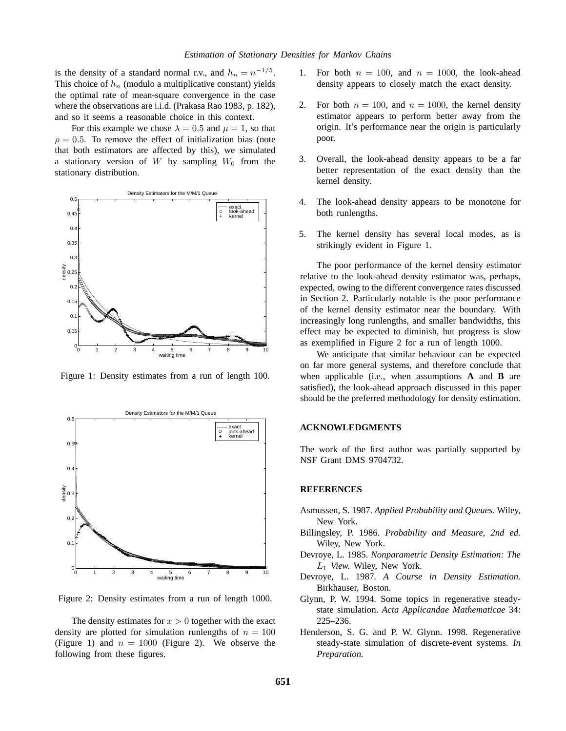is the density of a standard normal r.v., and  $h_n = n^{-1/5}$ . This choice of  $h_n$  (modulo a multiplicative constant) yields the optimal rate of mean-square convergence in the case where the observations are i.i.d. (Prakasa Rao 1983, p. 182), and so it seems a reasonable choice in this context.

For this example we chose  $\lambda = 0.5$  and  $\mu = 1$ , so that  $\rho = 0.5$ . To remove the effect of initialization bias (note that both estimators are affected by this), we simulated a stationary version of W by sampling  $W_0$  from the stationary distribution.



Figure 1: Density estimates from a run of length 100.



Figure 2: Density estimates from a run of length 1000.

The density estimates for  $x > 0$  together with the exact density are plotted for simulation runlengths of  $n = 100$ (Figure 1) and  $n = 1000$  (Figure 2). We observe the following from these figures.

- 1. For both  $n = 100$ , and  $n = 1000$ , the look-ahead density appears to closely match the exact density.
- 2. For both  $n = 100$ , and  $n = 1000$ , the kernel density estimator appears to perform better away from the origin. It's performance near the origin is particularly poor.
- 3. Overall, the look-ahead density appears to be a far better representation of the exact density than the kernel density.
- 4. The look-ahead density appears to be monotone for both runlengths.
- 5. The kernel density has several local modes, as is strikingly evident in Figure 1.

The poor performance of the kernel density estimator relative to the look-ahead density estimator was, perhaps, expected, owing to the different convergence rates discussed in Section 2. Particularly notable is the poor performance of the kernel density estimator near the boundary. With increasingly long runlengths, and smaller bandwidths, this effect may be expected to diminish, but progress is slow as exemplified in Figure 2 for a run of length 1000.

We anticipate that similar behaviour can be expected on far more general systems, and therefore conclude that when applicable (i.e., when assumptions **A** and **B** are satisfied), the look-ahead approach discussed in this paper should be the preferred methodology for density estimation.

### **ACKNOWLEDGMENTS**

The work of the first author was partially supported by NSF Grant DMS 9704732.

#### **REFERENCES**

- Asmussen, S. 1987. *Applied Probability and Queues.* Wiley, New York.
- Billingsley, P. 1986. *Probability and Measure, 2nd ed.* Wiley, New York.
- Devroye, L. 1985. *Nonparametric Density Estimation: The* L<sup>1</sup> *View.* Wiley, New York.
- Devroye, L. 1987. *A Course in Density Estimation.* Birkhauser, Boston.
- Glynn, P. W. 1994. Some topics in regenerative steadystate simulation. *Acta Applicandae Mathematicae* 34: 225–236.
- Henderson, S. G. and P. W. Glynn. 1998. Regenerative steady-state simulation of discrete-event systems. *In Preparation.*